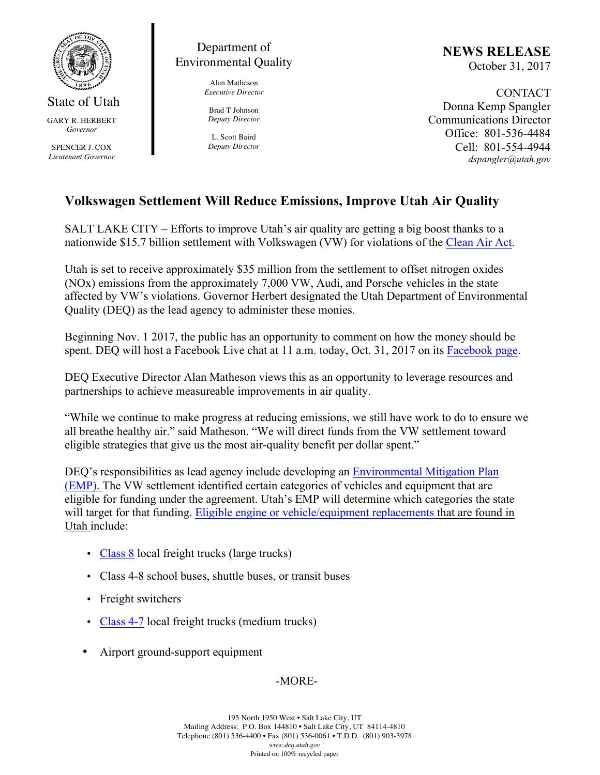

State of Utah GARY R. HERBERT *Governor*

SPENCER J. COX *Lieutenant Governor*

## Department of Environmental Quality

Alan Matheson *Executive Director*

Brad T Johnson *Deputy Director*

L. Scott Baird *Deputy Director* **NEWS RELEASE** October 31, 2017

CONTACT Donna Kemp Spangler Communications Director Office: 801-536-4484 Cell: 801-554-4944 *dspangler@utah.gov*

## **Volkswagen Settlement Will Reduce Emissions, Improve Utah Air Quality**

SALT LAKE CITY – Efforts to improve Utah's air quality are getting a big boost thanks to a nationwide \$15.7 billion settlement with Volkswagen (VW) for violations of the Clean Air Act.

Utah is set to receive approximately \$35 million from the settlement to offset nitrogen oxides (NOx) emissions from the approximately 7,000 VW, Audi, and Porsche vehicles in the state affected by VW's violations. Governor Herbert designated the Utah Department of Environmental Quality (DEQ) as the lead agency to administer these monies.

Beginning Nov. 1 2017, the public has an opportunity to comment on how the money should be spent. DEQ will host a Facebook Live chat at 11 a.m. today, Oct. 31, 2017 on its Facebook page.

DEQ Executive Director Alan Matheson views this as an opportunity to leverage resources and partnerships to achieve measureable improvements in air quality.

"While we continue to make progress at reducing emissions, we still have work to do to ensure we all breathe healthy air." said Matheson. "We will direct funds from the VW settlement toward eligible strategies that give us the most air-quality benefit per dollar spent."

DEQ's responsibilities as lead agency include developing an Environmental Mitigation Plan (EMP). The VW settlement identified certain categories of vehicles and equipment that are eligible for funding under the agreement. Utah's EMP will determine which categories the state will target for that funding. Eligible engine or vehicle/equipment replacements that are found in Utah include:

- Class 8 local freight trucks (large trucks)
- Class 4-8 school buses, shuttle buses, or transit buses
- Freight switchers
- Class 4-7 local freight trucks (medium trucks)
- Airport ground-support equipment

-MORE-